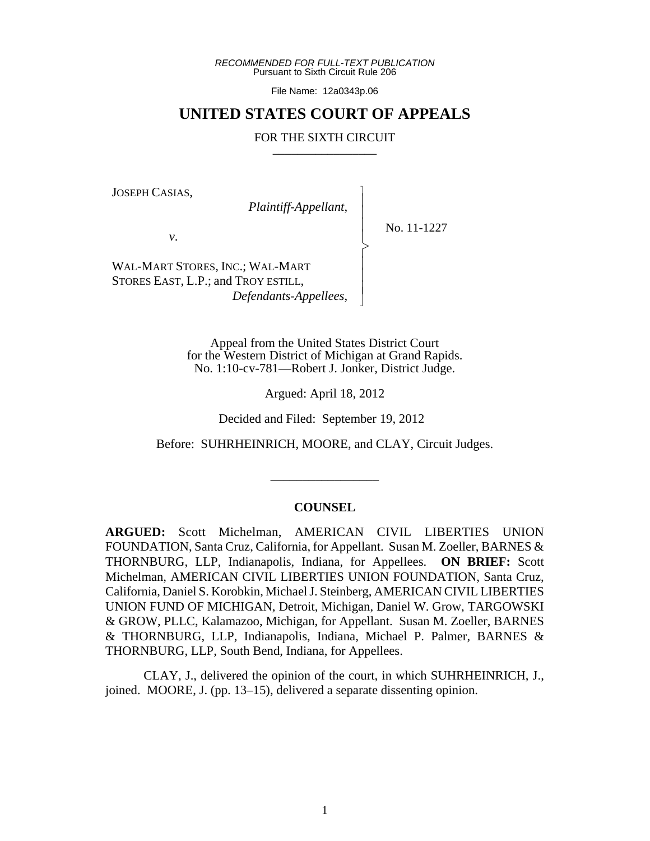*RECOMMENDED FOR FULL-TEXT PUBLICATION* Pursuant to Sixth Circuit Rule 206

File Name: 12a0343p.06

# **UNITED STATES COURT OF APPEALS**

#### FOR THE SIXTH CIRCUIT

 $\overline{\phantom{a}}$ - - - > , - - - N

JOSEPH CASIAS,

*Plaintiff-Appellant*,

No. 11-1227

*v*.

WAL-MART STORES, INC.; WAL-MART STORES EAST, L.P.; and TROY ESTILL, *Defendants-Appellees*,

> Appeal from the United States District Court for the Western District of Michigan at Grand Rapids. No. 1:10-cv-781—Robert J. Jonker, District Judge.

> > Argued: April 18, 2012

Decided and Filed: September 19, 2012

Before: SUHRHEINRICH, MOORE, and CLAY, Circuit Judges.

\_\_\_\_\_\_\_\_\_\_\_\_\_\_\_\_\_

#### **COUNSEL**

**ARGUED:** Scott Michelman, AMERICAN CIVIL LIBERTIES UNION FOUNDATION, Santa Cruz, California, for Appellant. Susan M. Zoeller, BARNES & THORNBURG, LLP, Indianapolis, Indiana, for Appellees. **ON BRIEF:** Scott Michelman, AMERICAN CIVIL LIBERTIES UNION FOUNDATION, Santa Cruz, California, Daniel S. Korobkin, Michael J. Steinberg, AMERICAN CIVIL LIBERTIES UNION FUND OF MICHIGAN, Detroit, Michigan, Daniel W. Grow, TARGOWSKI & GROW, PLLC, Kalamazoo, Michigan, for Appellant. Susan M. Zoeller, BARNES & THORNBURG, LLP, Indianapolis, Indiana, Michael P. Palmer, BARNES & THORNBURG, LLP, South Bend, Indiana, for Appellees.

CLAY, J., delivered the opinion of the court, in which SUHRHEINRICH, J., joined. MOORE, J. (pp. 13–15), delivered a separate dissenting opinion.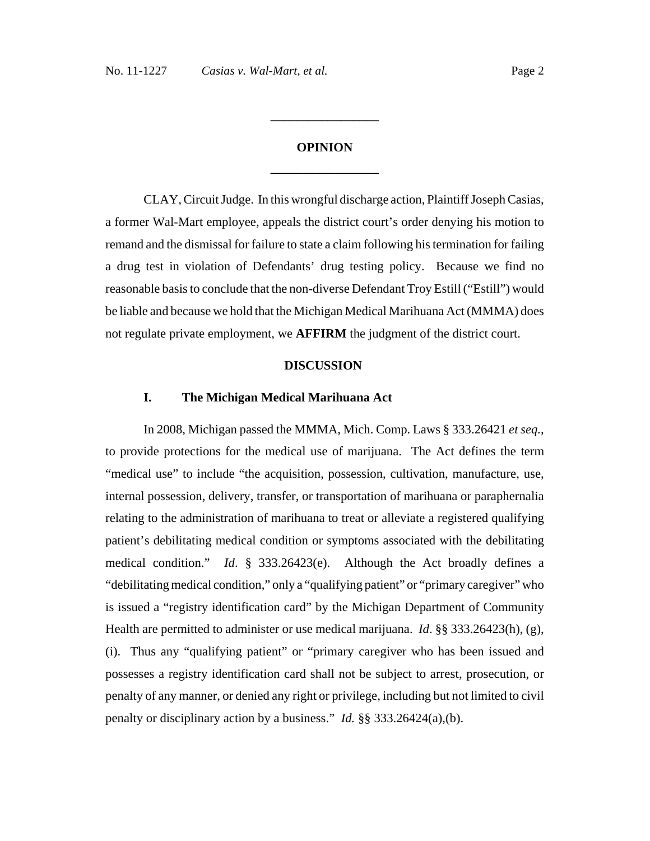# **OPINION \_\_\_\_\_\_\_\_\_\_\_\_\_\_\_\_\_**

**\_\_\_\_\_\_\_\_\_\_\_\_\_\_\_\_\_**

CLAY, Circuit Judge. In this wrongful discharge action, Plaintiff Joseph Casias, a former Wal-Mart employee, appeals the district court's order denying his motion to remand and the dismissal for failure to state a claim following his termination for failing a drug test in violation of Defendants' drug testing policy. Because we find no reasonable basis to conclude that the non-diverse Defendant Troy Estill ("Estill") would be liable and because we hold that the Michigan Medical Marihuana Act (MMMA) does not regulate private employment, we **AFFIRM** the judgment of the district court.

#### **DISCUSSION**

#### **I. The Michigan Medical Marihuana Act**

In 2008, Michigan passed the MMMA, Mich. Comp. Laws § 333.26421 *et seq.,* to provide protections for the medical use of marijuana. The Act defines the term "medical use" to include "the acquisition, possession, cultivation, manufacture, use, internal possession, delivery, transfer, or transportation of marihuana or paraphernalia relating to the administration of marihuana to treat or alleviate a registered qualifying patient's debilitating medical condition or symptoms associated with the debilitating medical condition." *Id*. § 333.26423(e). Although the Act broadly defines a "debilitating medical condition," only a "qualifying patient" or "primary caregiver" who is issued a "registry identification card" by the Michigan Department of Community Health are permitted to administer or use medical marijuana. *Id*. §§ 333.26423(h), (g), (i). Thus any "qualifying patient" or "primary caregiver who has been issued and possesses a registry identification card shall not be subject to arrest, prosecution, or penalty of any manner, or denied any right or privilege, including but not limited to civil penalty or disciplinary action by a business." *Id.* §§ 333.26424(a),(b).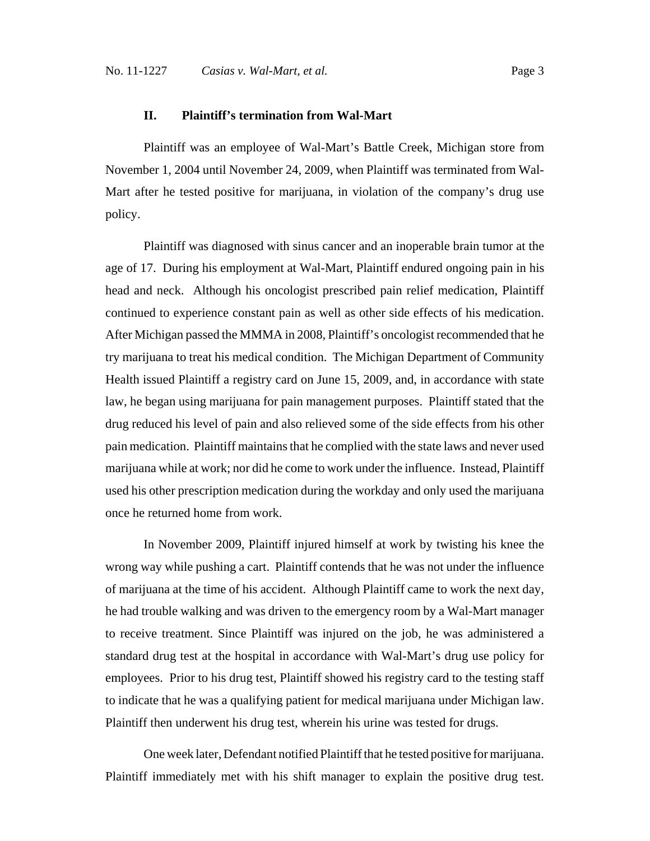## **II. Plaintiff's termination from Wal-Mart**

Plaintiff was an employee of Wal-Mart's Battle Creek, Michigan store from November 1, 2004 until November 24, 2009, when Plaintiff was terminated from Wal-Mart after he tested positive for marijuana, in violation of the company's drug use policy.

Plaintiff was diagnosed with sinus cancer and an inoperable brain tumor at the age of 17. During his employment at Wal-Mart, Plaintiff endured ongoing pain in his head and neck. Although his oncologist prescribed pain relief medication, Plaintiff continued to experience constant pain as well as other side effects of his medication. After Michigan passed the MMMA in 2008, Plaintiff's oncologist recommended that he try marijuana to treat his medical condition. The Michigan Department of Community Health issued Plaintiff a registry card on June 15, 2009, and, in accordance with state law, he began using marijuana for pain management purposes. Plaintiff stated that the drug reduced his level of pain and also relieved some of the side effects from his other pain medication. Plaintiff maintains that he complied with the state laws and never used marijuana while at work; nor did he come to work under the influence. Instead, Plaintiff used his other prescription medication during the workday and only used the marijuana once he returned home from work.

In November 2009, Plaintiff injured himself at work by twisting his knee the wrong way while pushing a cart. Plaintiff contends that he was not under the influence of marijuana at the time of his accident. Although Plaintiff came to work the next day, he had trouble walking and was driven to the emergency room by a Wal-Mart manager to receive treatment. Since Plaintiff was injured on the job, he was administered a standard drug test at the hospital in accordance with Wal-Mart's drug use policy for employees. Prior to his drug test, Plaintiff showed his registry card to the testing staff to indicate that he was a qualifying patient for medical marijuana under Michigan law. Plaintiff then underwent his drug test, wherein his urine was tested for drugs.

One week later, Defendant notified Plaintiff that he tested positive for marijuana. Plaintiff immediately met with his shift manager to explain the positive drug test.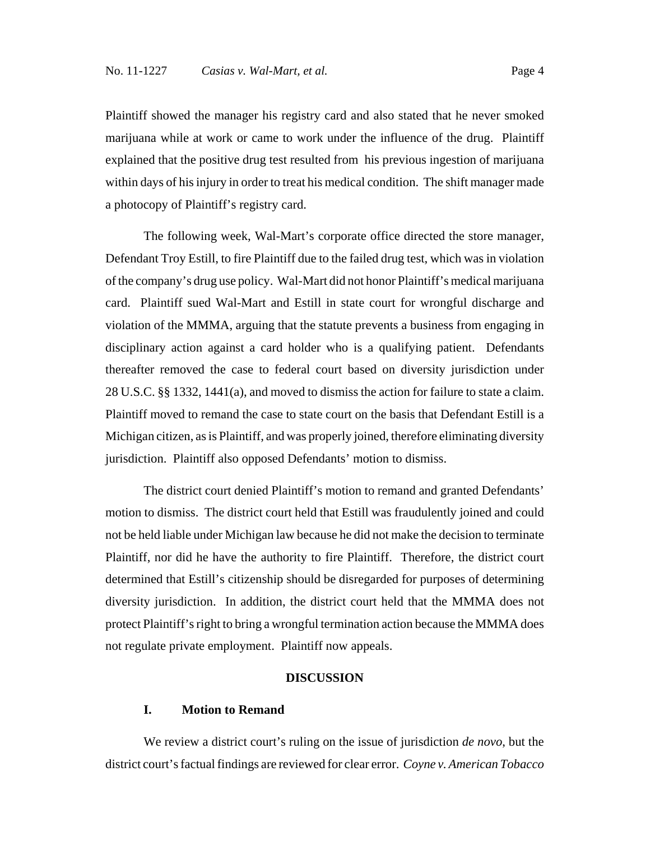Plaintiff showed the manager his registry card and also stated that he never smoked marijuana while at work or came to work under the influence of the drug. Plaintiff explained that the positive drug test resulted from his previous ingestion of marijuana within days of his injury in order to treat his medical condition. The shift manager made a photocopy of Plaintiff's registry card.

The following week, Wal-Mart's corporate office directed the store manager, Defendant Troy Estill, to fire Plaintiff due to the failed drug test, which was in violation of the company's drug use policy. Wal-Mart did not honor Plaintiff's medical marijuana card. Plaintiff sued Wal-Mart and Estill in state court for wrongful discharge and violation of the MMMA, arguing that the statute prevents a business from engaging in disciplinary action against a card holder who is a qualifying patient. Defendants thereafter removed the case to federal court based on diversity jurisdiction under 28 U.S.C. §§ 1332, 1441(a), and moved to dismiss the action for failure to state a claim. Plaintiff moved to remand the case to state court on the basis that Defendant Estill is a Michigan citizen, as is Plaintiff, and was properly joined, therefore eliminating diversity jurisdiction. Plaintiff also opposed Defendants' motion to dismiss.

The district court denied Plaintiff's motion to remand and granted Defendants' motion to dismiss. The district court held that Estill was fraudulently joined and could not be held liable under Michigan law because he did not make the decision to terminate Plaintiff, nor did he have the authority to fire Plaintiff. Therefore, the district court determined that Estill's citizenship should be disregarded for purposes of determining diversity jurisdiction. In addition, the district court held that the MMMA does not protect Plaintiff's right to bring a wrongful termination action because the MMMA does not regulate private employment. Plaintiff now appeals.

#### **DISCUSSION**

## **I. Motion to Remand**

We review a district court's ruling on the issue of jurisdiction *de novo*, but the district court's factual findings are reviewed for clear error. *Coyne v. American Tobacco*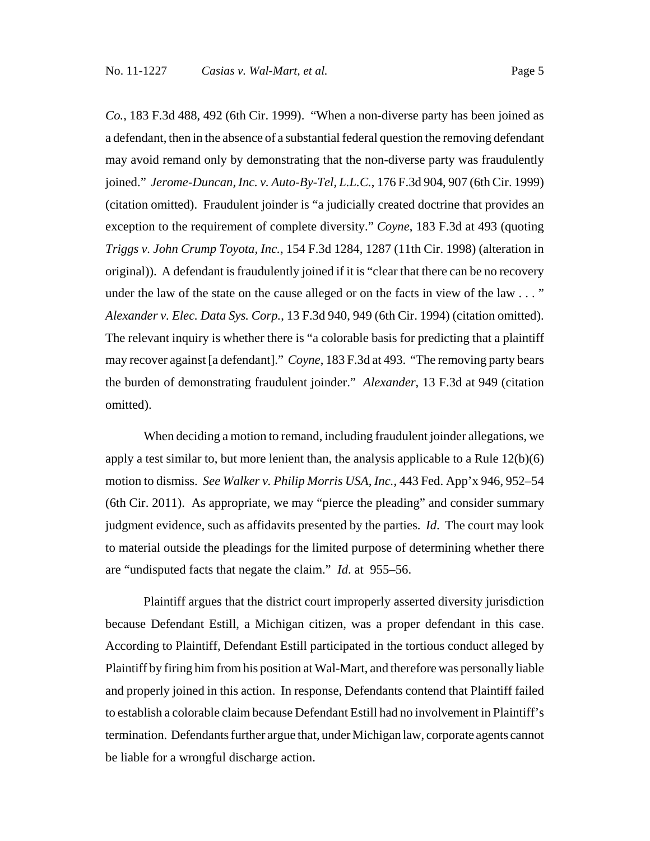*Co.*, 183 F.3d 488, 492 (6th Cir. 1999). "When a non-diverse party has been joined as a defendant, then in the absence of a substantial federal question the removing defendant may avoid remand only by demonstrating that the non-diverse party was fraudulently joined." *Jerome-Duncan, Inc. v. Auto-By-Tel, L.L.C.*, 176 F.3d 904, 907 (6th Cir. 1999) (citation omitted). Fraudulent joinder is "a judicially created doctrine that provides an exception to the requirement of complete diversity." *Coyne*, 183 F.3d at 493 (quoting *Triggs v. John Crump Toyota, Inc.*, 154 F.3d 1284, 1287 (11th Cir. 1998) (alteration in original)). A defendant is fraudulently joined if it is "clear that there can be no recovery under the law of the state on the cause alleged or on the facts in view of the law . . . " *Alexander v. Elec. Data Sys. Corp.*, 13 F.3d 940, 949 (6th Cir. 1994) (citation omitted). The relevant inquiry is whether there is "a colorable basis for predicting that a plaintiff may recover against [a defendant]." *Coyne*, 183 F.3d at 493. "The removing party bears the burden of demonstrating fraudulent joinder." *Alexander*, 13 F.3d at 949 (citation omitted).

When deciding a motion to remand, including fraudulent joinder allegations, we apply a test similar to, but more lenient than, the analysis applicable to a Rule  $12(b)(6)$ motion to dismiss. *See Walker v. Philip Morris USA, Inc.*, 443 Fed. App'x 946, 952–54 (6th Cir. 2011). As appropriate, we may "pierce the pleading" and consider summary judgment evidence, such as affidavits presented by the parties. *Id*. The court may look to material outside the pleadings for the limited purpose of determining whether there are "undisputed facts that negate the claim." *Id*. at 955–56.

Plaintiff argues that the district court improperly asserted diversity jurisdiction because Defendant Estill, a Michigan citizen, was a proper defendant in this case. According to Plaintiff, Defendant Estill participated in the tortious conduct alleged by Plaintiff by firing him from his position at Wal-Mart, and therefore was personally liable and properly joined in this action. In response, Defendants contend that Plaintiff failed to establish a colorable claim because Defendant Estill had no involvement in Plaintiff's termination. Defendants further argue that, under Michigan law, corporate agents cannot be liable for a wrongful discharge action.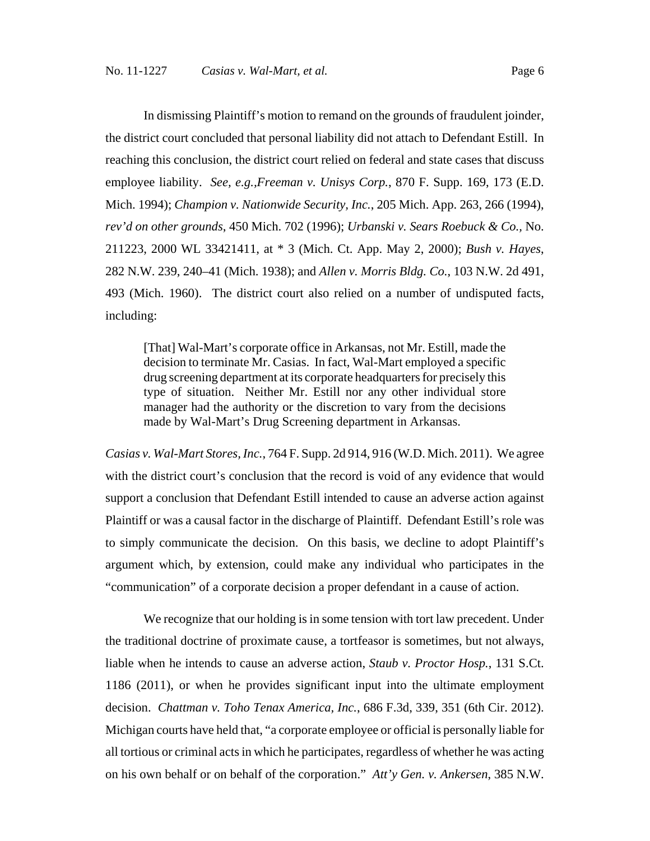In dismissing Plaintiff's motion to remand on the grounds of fraudulent joinder, the district court concluded that personal liability did not attach to Defendant Estill. In reaching this conclusion, the district court relied on federal and state cases that discuss employee liability. *See, e.g.,Freeman v. Unisys Corp.*, 870 F. Supp. 169, 173 (E.D. Mich. 1994); *Champion v. Nationwide Security, Inc.*, 205 Mich. App. 263, 266 (1994), *rev'd on other grounds*, 450 Mich. 702 (1996); *Urbanski v. Sears Roebuck & Co.,* No. 211223, 2000 WL 33421411, at \* 3 (Mich. Ct. App. May 2, 2000); *Bush v. Hayes*, 282 N.W. 239, 240–41 (Mich. 1938); and *Allen v. Morris Bldg. Co.*, 103 N.W. 2d 491, 493 (Mich. 1960). The district court also relied on a number of undisputed facts, including:

[That] Wal-Mart's corporate office in Arkansas, not Mr. Estill, made the decision to terminate Mr. Casias. In fact, Wal-Mart employed a specific drug screening department at its corporate headquarters for precisely this type of situation. Neither Mr. Estill nor any other individual store manager had the authority or the discretion to vary from the decisions made by Wal-Mart's Drug Screening department in Arkansas.

*Casias v. Wal-Mart Stores, Inc.*, 764 F. Supp. 2d 914, 916 (W.D. Mich. 2011). We agree with the district court's conclusion that the record is void of any evidence that would support a conclusion that Defendant Estill intended to cause an adverse action against Plaintiff or was a causal factor in the discharge of Plaintiff. Defendant Estill's role was to simply communicate the decision. On this basis, we decline to adopt Plaintiff's argument which, by extension, could make any individual who participates in the "communication" of a corporate decision a proper defendant in a cause of action.

We recognize that our holding is in some tension with tort law precedent. Under the traditional doctrine of proximate cause, a tortfeasor is sometimes, but not always, liable when he intends to cause an adverse action, *Staub v. Proctor Hosp.*, 131 S.Ct. 1186 (2011), or when he provides significant input into the ultimate employment decision. *Chattman v. Toho Tenax America, Inc.*, 686 F.3d, 339, 351 (6th Cir. 2012). Michigan courts have held that, "a corporate employee or official is personally liable for all tortious or criminal acts in which he participates, regardless of whether he was acting on his own behalf or on behalf of the corporation." *Att'y Gen. v. Ankersen*, 385 N.W.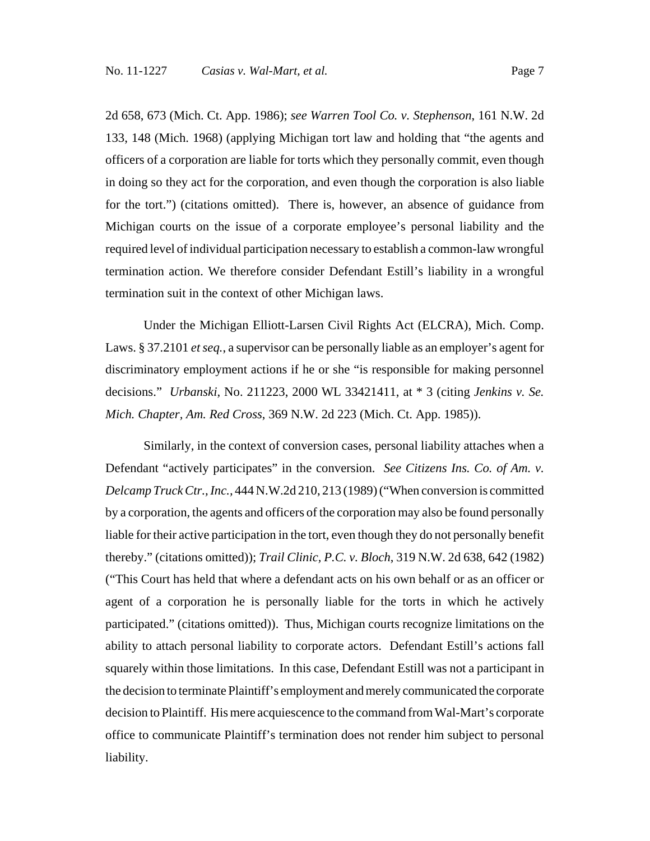2d 658, 673 (Mich. Ct. App. 1986); *see Warren Tool Co. v. Stephenson*, 161 N.W. 2d 133, 148 (Mich. 1968) (applying Michigan tort law and holding that "the agents and officers of a corporation are liable for torts which they personally commit, even though in doing so they act for the corporation, and even though the corporation is also liable for the tort.") (citations omitted). There is, however, an absence of guidance from Michigan courts on the issue of a corporate employee's personal liability and the required level of individual participation necessary to establish a common-law wrongful termination action. We therefore consider Defendant Estill's liability in a wrongful termination suit in the context of other Michigan laws.

Under the Michigan Elliott-Larsen Civil Rights Act (ELCRA), Mich. Comp. Laws. § 37.2101 *et seq.*, a supervisor can be personally liable as an employer's agent for discriminatory employment actions if he or she "is responsible for making personnel decisions." *Urbanski*, No. 211223, 2000 WL 33421411, at \* 3 (citing *Jenkins v. Se. Mich. Chapter, Am. Red Cross*, 369 N.W. 2d 223 (Mich. Ct. App. 1985)).

Similarly, in the context of conversion cases, personal liability attaches when a Defendant "actively participates" in the conversion. *See Citizens Ins. Co. of Am. v. Delcamp Truck Ctr., Inc.,* 444 N.W.2d 210, 213 (1989) ("When conversion is committed by a corporation, the agents and officers of the corporation may also be found personally liable for their active participation in the tort, even though they do not personally benefit thereby." (citations omitted)); *Trail Clinic, P.C. v. Bloch*, 319 N.W. 2d 638, 642 (1982) ("This Court has held that where a defendant acts on his own behalf or as an officer or agent of a corporation he is personally liable for the torts in which he actively participated." (citations omitted)). Thus, Michigan courts recognize limitations on the ability to attach personal liability to corporate actors. Defendant Estill's actions fall squarely within those limitations. In this case, Defendant Estill was not a participant in the decision to terminate Plaintiff's employment and merely communicated the corporate decision to Plaintiff. His mere acquiescence to the command from Wal-Mart's corporate office to communicate Plaintiff's termination does not render him subject to personal liability.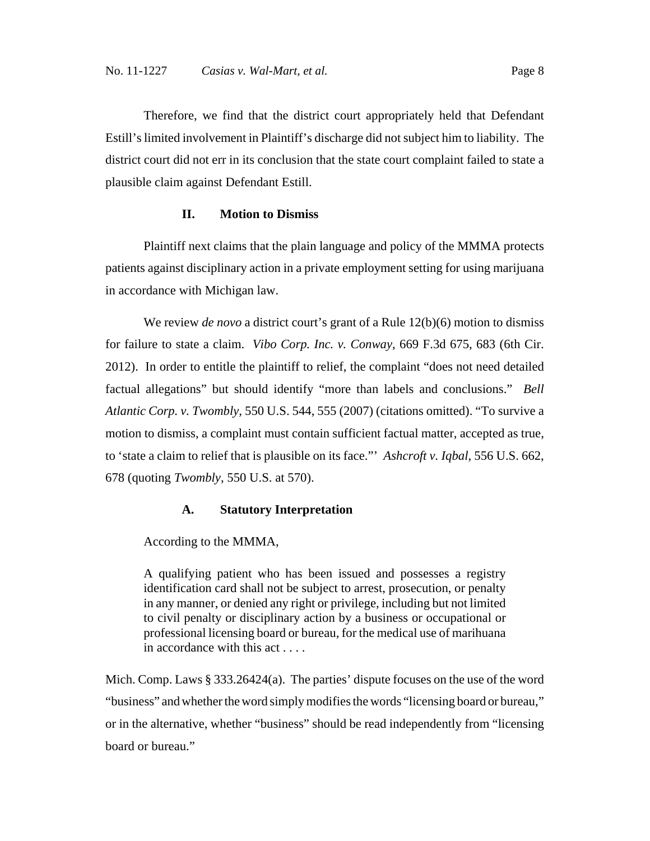Therefore, we find that the district court appropriately held that Defendant Estill's limited involvement in Plaintiff's discharge did not subject him to liability. The district court did not err in its conclusion that the state court complaint failed to state a plausible claim against Defendant Estill.

## **II. Motion to Dismiss**

Plaintiff next claims that the plain language and policy of the MMMA protects patients against disciplinary action in a private employment setting for using marijuana in accordance with Michigan law.

We review *de novo* a district court's grant of a Rule 12(b)(6) motion to dismiss for failure to state a claim. *Vibo Corp. Inc. v. Conway*, 669 F.3d 675, 683 (6th Cir. 2012). In order to entitle the plaintiff to relief, the complaint "does not need detailed factual allegations" but should identify "more than labels and conclusions." *Bell Atlantic Corp. v. Twombly*, 550 U.S. 544, 555 (2007) (citations omitted). "To survive a motion to dismiss, a complaint must contain sufficient factual matter, accepted as true, to 'state a claim to relief that is plausible on its face."' *Ashcroft v. Iqbal*, 556 U.S. 662, 678 (quoting *Twombly*, 550 U.S. at 570).

## **A. Statutory Interpretation**

According to the MMMA,

A qualifying patient who has been issued and possesses a registry identification card shall not be subject to arrest, prosecution, or penalty in any manner, or denied any right or privilege, including but not limited to civil penalty or disciplinary action by a business or occupational or professional licensing board or bureau, for the medical use of marihuana in accordance with this act . . . .

Mich. Comp. Laws § 333.26424(a). The parties' dispute focuses on the use of the word "business" and whether the word simply modifies the words "licensing board or bureau," or in the alternative, whether "business" should be read independently from "licensing board or bureau."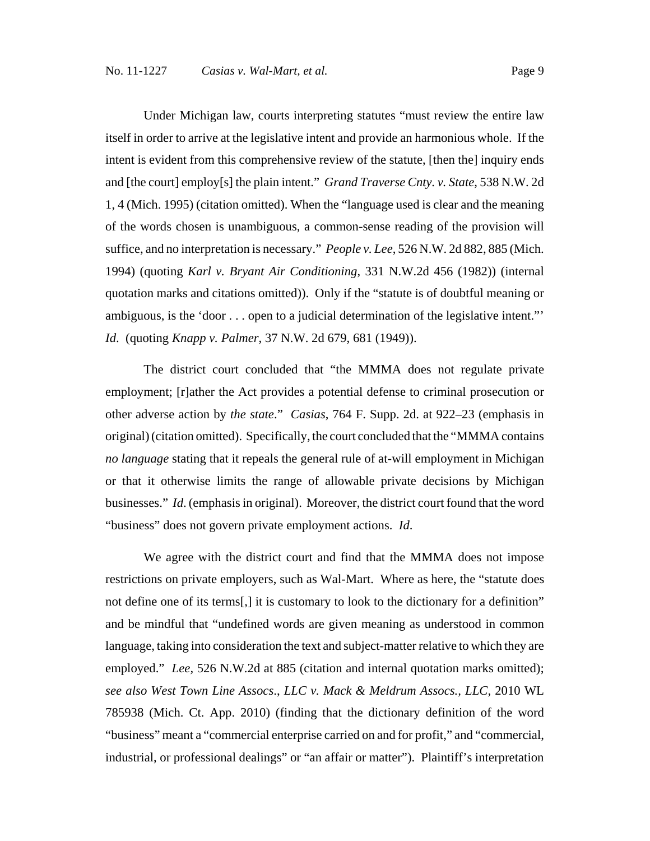Under Michigan law, courts interpreting statutes "must review the entire law itself in order to arrive at the legislative intent and provide an harmonious whole. If the intent is evident from this comprehensive review of the statute, [then the] inquiry ends and [the court] employ[s] the plain intent." *Grand Traverse Cnty. v. State*, 538 N.W. 2d 1, 4 (Mich. 1995) (citation omitted). When the "language used is clear and the meaning of the words chosen is unambiguous, a common-sense reading of the provision will suffice, and no interpretation is necessary." *People v. Lee*, 526 N.W. 2d 882, 885 (Mich. 1994) (quoting *Karl v. Bryant Air Conditioning*, 331 N.W.2d 456 (1982)) (internal quotation marks and citations omitted)). Only if the "statute is of doubtful meaning or ambiguous, is the 'door . . . open to a judicial determination of the legislative intent."' *Id*. (quoting *Knapp v. Palmer*, 37 N.W. 2d 679, 681 (1949)).

The district court concluded that "the MMMA does not regulate private employment; [r]ather the Act provides a potential defense to criminal prosecution or other adverse action by *the state*." *Casias*, 764 F. Supp. 2d. at 922–23 (emphasis in original) (citation omitted). Specifically, the court concluded that the "MMMA contains *no language* stating that it repeals the general rule of at-will employment in Michigan or that it otherwise limits the range of allowable private decisions by Michigan businesses." *Id*. (emphasis in original). Moreover, the district court found that the word "business" does not govern private employment actions. *Id*.

We agree with the district court and find that the MMMA does not impose restrictions on private employers, such as Wal-Mart. Where as here, the "statute does not define one of its terms[,] it is customary to look to the dictionary for a definition" and be mindful that "undefined words are given meaning as understood in common language, taking into consideration the text and subject-matter relative to which they are employed." *Lee,* 526 N.W.2d at 885 (citation and internal quotation marks omitted); *see also West Town Line Assocs*., *LLC v. Mack & Meldrum Assocs., LLC,* 2010 WL 785938 (Mich. Ct. App. 2010) (finding that the dictionary definition of the word "business" meant a "commercial enterprise carried on and for profit," and "commercial, industrial, or professional dealings" or "an affair or matter"). Plaintiff's interpretation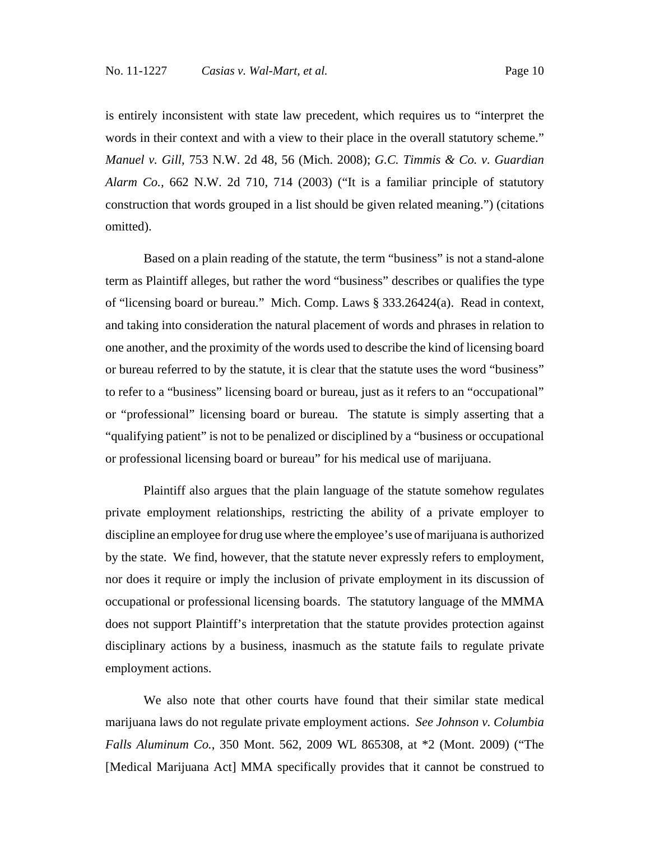is entirely inconsistent with state law precedent, which requires us to "interpret the words in their context and with a view to their place in the overall statutory scheme." *Manuel v. Gill*, 753 N.W. 2d 48, 56 (Mich. 2008); *G.C. Timmis & Co. v. Guardian Alarm Co.,* 662 N.W. 2d 710, 714 (2003) ("It is a familiar principle of statutory construction that words grouped in a list should be given related meaning.") (citations omitted).

Based on a plain reading of the statute, the term "business" is not a stand-alone term as Plaintiff alleges, but rather the word "business" describes or qualifies the type of "licensing board or bureau." Mich. Comp. Laws § 333.26424(a). Read in context, and taking into consideration the natural placement of words and phrases in relation to one another, and the proximity of the words used to describe the kind of licensing board or bureau referred to by the statute, it is clear that the statute uses the word "business" to refer to a "business" licensing board or bureau, just as it refers to an "occupational" or "professional" licensing board or bureau. The statute is simply asserting that a "qualifying patient" is not to be penalized or disciplined by a "business or occupational or professional licensing board or bureau" for his medical use of marijuana.

Plaintiff also argues that the plain language of the statute somehow regulates private employment relationships, restricting the ability of a private employer to discipline an employee for drug use where the employee's use of marijuana is authorized by the state. We find, however, that the statute never expressly refers to employment, nor does it require or imply the inclusion of private employment in its discussion of occupational or professional licensing boards. The statutory language of the MMMA does not support Plaintiff's interpretation that the statute provides protection against disciplinary actions by a business, inasmuch as the statute fails to regulate private employment actions.

We also note that other courts have found that their similar state medical marijuana laws do not regulate private employment actions. *See Johnson v. Columbia Falls Aluminum Co.*, 350 Mont. 562, 2009 WL 865308, at \*2 (Mont. 2009) ("The [Medical Marijuana Act] MMA specifically provides that it cannot be construed to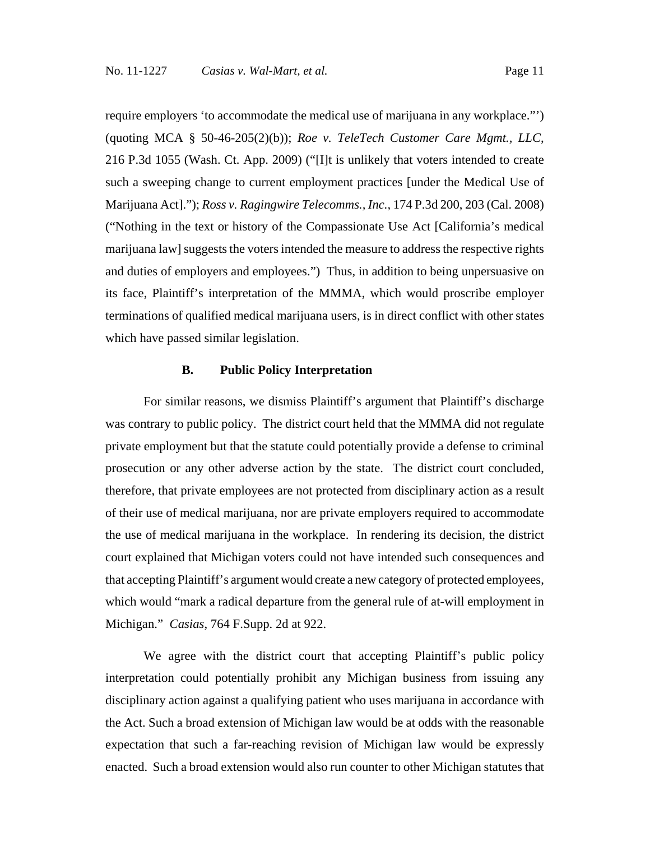require employers 'to accommodate the medical use of marijuana in any workplace."') (quoting MCA § 50-46-205(2)(b)); *Roe v. TeleTech Customer Care Mgmt., LLC*, 216 P.3d 1055 (Wash. Ct. App. 2009) ("[I]t is unlikely that voters intended to create such a sweeping change to current employment practices [under the Medical Use of Marijuana Act]."); *Ross v. Ragingwire Telecomms., Inc.,* 174 P.3d 200, 203 (Cal. 2008) ("Nothing in the text or history of the Compassionate Use Act [California's medical marijuana law] suggests the voters intended the measure to address the respective rights and duties of employers and employees.") Thus, in addition to being unpersuasive on its face, Plaintiff's interpretation of the MMMA, which would proscribe employer terminations of qualified medical marijuana users, is in direct conflict with other states which have passed similar legislation.

## **B. Public Policy Interpretation**

For similar reasons, we dismiss Plaintiff's argument that Plaintiff's discharge was contrary to public policy. The district court held that the MMMA did not regulate private employment but that the statute could potentially provide a defense to criminal prosecution or any other adverse action by the state. The district court concluded, therefore, that private employees are not protected from disciplinary action as a result of their use of medical marijuana, nor are private employers required to accommodate the use of medical marijuana in the workplace. In rendering its decision, the district court explained that Michigan voters could not have intended such consequences and that accepting Plaintiff's argument would create a new category of protected employees, which would "mark a radical departure from the general rule of at-will employment in Michigan." *Casias*, 764 F.Supp. 2d at 922.

We agree with the district court that accepting Plaintiff's public policy interpretation could potentially prohibit any Michigan business from issuing any disciplinary action against a qualifying patient who uses marijuana in accordance with the Act. Such a broad extension of Michigan law would be at odds with the reasonable expectation that such a far-reaching revision of Michigan law would be expressly enacted. Such a broad extension would also run counter to other Michigan statutes that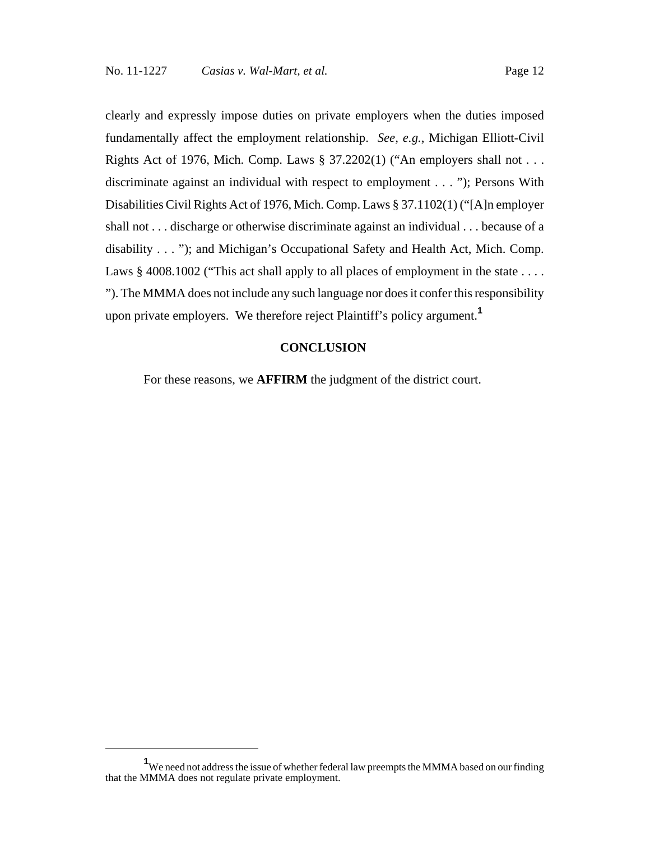clearly and expressly impose duties on private employers when the duties imposed fundamentally affect the employment relationship. *See, e.g.*, Michigan Elliott-Civil Rights Act of 1976, Mich. Comp. Laws  $\S 37.2202(1)$  ("An employers shall not . . . discriminate against an individual with respect to employment . . . "); Persons With Disabilities Civil Rights Act of 1976, Mich. Comp. Laws § 37.1102(1) ("[A]n employer shall not . . . discharge or otherwise discriminate against an individual . . . because of a disability . . . "); and Michigan's Occupational Safety and Health Act, Mich. Comp. Laws  $\S$  4008.1002 ("This act shall apply to all places of employment in the state ... "). The MMMA does not include any such language nor does it confer this responsibility upon private employers. We therefore reject Plaintiff's policy argument.**<sup>1</sup>**

## **CONCLUSION**

For these reasons, we **AFFIRM** the judgment of the district court.

<sup>&</sup>lt;sup>1</sup>We need not address the issue of whether federal law preempts the MMMA based on our finding that the MMMA does not regulate private employment.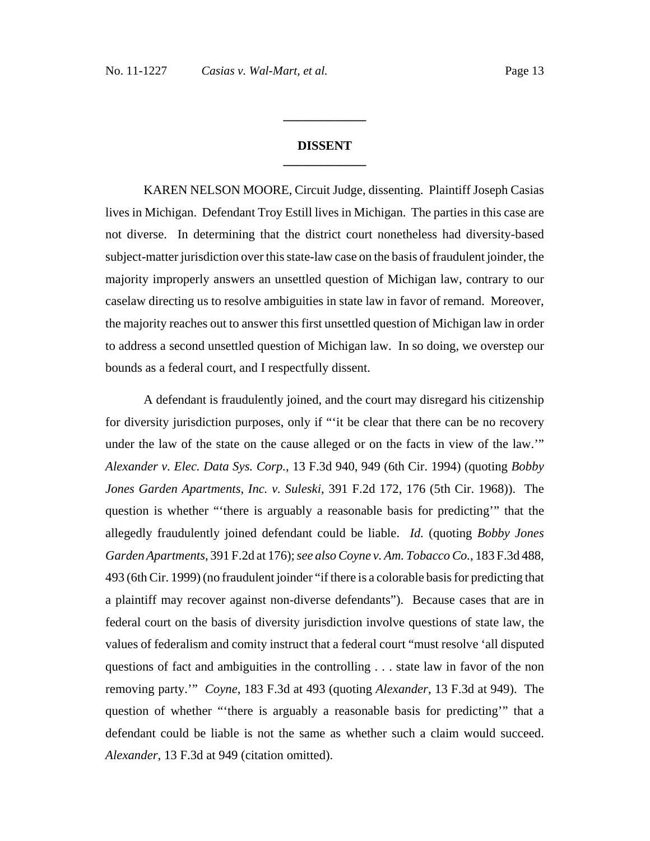## **DISSENT \_\_\_\_\_\_\_\_\_\_\_\_\_**

**\_\_\_\_\_\_\_\_\_\_\_\_\_**

KAREN NELSON MOORE, Circuit Judge, dissenting. Plaintiff Joseph Casias lives in Michigan. Defendant Troy Estill lives in Michigan. The parties in this case are not diverse. In determining that the district court nonetheless had diversity-based subject-matter jurisdiction over this state-law case on the basis of fraudulent joinder, the majority improperly answers an unsettled question of Michigan law, contrary to our caselaw directing us to resolve ambiguities in state law in favor of remand. Moreover, the majority reaches out to answer this first unsettled question of Michigan law in order to address a second unsettled question of Michigan law. In so doing, we overstep our bounds as a federal court, and I respectfully dissent.

A defendant is fraudulently joined, and the court may disregard his citizenship for diversity jurisdiction purposes, only if "'it be clear that there can be no recovery under the law of the state on the cause alleged or on the facts in view of the law.'" *Alexander v. Elec. Data Sys. Corp.*, 13 F.3d 940, 949 (6th Cir. 1994) (quoting *Bobby Jones Garden Apartments, Inc. v. Suleski*, 391 F.2d 172, 176 (5th Cir. 1968)). The question is whether "'there is arguably a reasonable basis for predicting'" that the allegedly fraudulently joined defendant could be liable. *Id.* (quoting *Bobby Jones Garden Apartments*, 391 F.2d at 176); *see also Coyne v. Am. Tobacco Co.*, 183 F.3d 488, 493 (6th Cir. 1999) (no fraudulent joinder "if there is a colorable basis for predicting that a plaintiff may recover against non-diverse defendants"). Because cases that are in federal court on the basis of diversity jurisdiction involve questions of state law, the values of federalism and comity instruct that a federal court "must resolve 'all disputed questions of fact and ambiguities in the controlling . . . state law in favor of the non removing party.'" *Coyne*, 183 F.3d at 493 (quoting *Alexander*, 13 F.3d at 949). The question of whether "'there is arguably a reasonable basis for predicting'" that a defendant could be liable is not the same as whether such a claim would succeed. *Alexander*, 13 F.3d at 949 (citation omitted).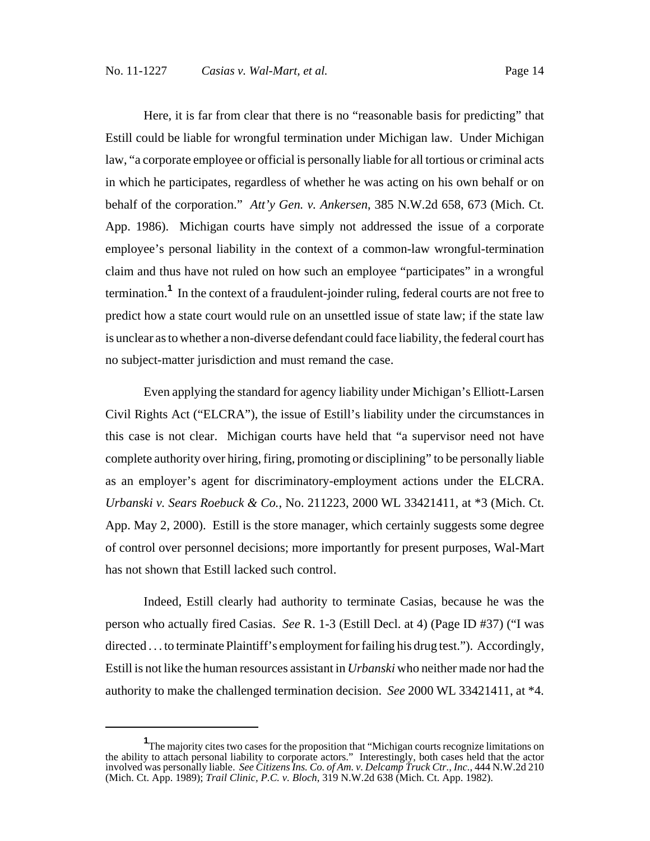Here, it is far from clear that there is no "reasonable basis for predicting" that Estill could be liable for wrongful termination under Michigan law. Under Michigan law, "a corporate employee or official is personally liable for all tortious or criminal acts in which he participates, regardless of whether he was acting on his own behalf or on behalf of the corporation." *Att'y Gen. v. Ankersen*, 385 N.W.2d 658, 673 (Mich. Ct. App. 1986). Michigan courts have simply not addressed the issue of a corporate employee's personal liability in the context of a common-law wrongful-termination claim and thus have not ruled on how such an employee "participates" in a wrongful termination.**<sup>1</sup>** In the context of a fraudulent-joinder ruling, federal courts are not free to predict how a state court would rule on an unsettled issue of state law; if the state law is unclear as to whether a non-diverse defendant could face liability, the federal court has no subject-matter jurisdiction and must remand the case.

Even applying the standard for agency liability under Michigan's Elliott-Larsen Civil Rights Act ("ELCRA"), the issue of Estill's liability under the circumstances in this case is not clear. Michigan courts have held that "a supervisor need not have complete authority over hiring, firing, promoting or disciplining" to be personally liable as an employer's agent for discriminatory-employment actions under the ELCRA. *Urbanski v. Sears Roebuck & Co.*, No. 211223, 2000 WL 33421411, at \*3 (Mich. Ct. App. May 2, 2000). Estill is the store manager, which certainly suggests some degree of control over personnel decisions; more importantly for present purposes, Wal-Mart has not shown that Estill lacked such control.

Indeed, Estill clearly had authority to terminate Casias, because he was the person who actually fired Casias. *See* R. 1-3 (Estill Decl. at 4) (Page ID #37) ("I was directed . . . to terminate Plaintiff's employment for failing his drug test."). Accordingly, Estill is not like the human resources assistant in *Urbanski* who neither made nor had the authority to make the challenged termination decision. *See* 2000 WL 33421411, at \*4.

<sup>&</sup>lt;sup>1</sup>The majority cites two cases for the proposition that "Michigan courts recognize limitations on the ability to attach personal liability to corporate actors." Interestingly, both cases held that the actor involved was personally liable. *See Citizens Ins. Co. of Am. v. Delcamp Truck Ctr., Inc.*, 444 N.W.2d 210 (Mich. Ct. App. 1989); *Trail Clinic, P.C. v. Bloch*, 319 N.W.2d 638 (Mich. Ct. App. 1982).